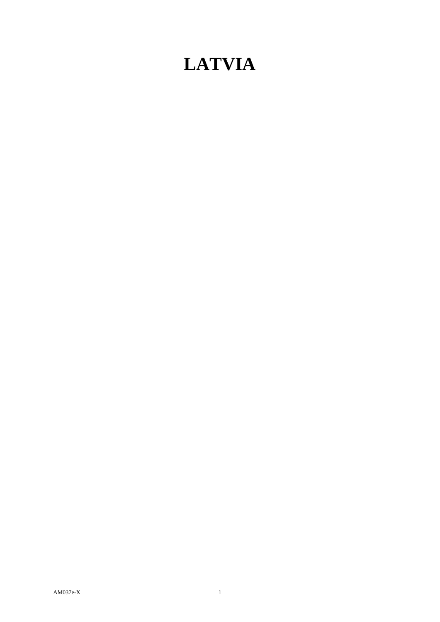# **LATVIA**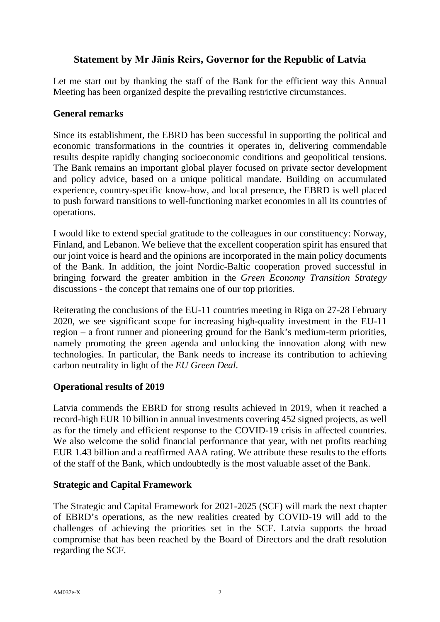# **Statement by Mr Jānis Reirs, Governor for the Republic of Latvia**

Let me start out by thanking the staff of the Bank for the efficient way this Annual Meeting has been organized despite the prevailing restrictive circumstances.

## **General remarks**

Since its establishment, the EBRD has been successful in supporting the political and economic transformations in the countries it operates in, delivering commendable results despite rapidly changing socioeconomic conditions and geopolitical tensions. The Bank remains an important global player focused on private sector development and policy advice, based on a unique political mandate. Building on accumulated experience, country-specific know-how, and local presence, the EBRD is well placed to push forward transitions to well-functioning market economies in all its countries of operations.

I would like to extend special gratitude to the colleagues in our constituency: Norway, Finland, and Lebanon. We believe that the excellent cooperation spirit has ensured that our joint voice is heard and the opinions are incorporated in the main policy documents of the Bank. In addition, the joint Nordic-Baltic cooperation proved successful in bringing forward the greater ambition in the *Green Economy Transition Strategy* discussions - the concept that remains one of our top priorities.

Reiterating the conclusions of the EU-11 countries meeting in Riga on 27-28 February 2020, we see significant scope for increasing high-quality investment in the EU-11 region – a front runner and pioneering ground for the Bank's medium-term priorities, namely promoting the green agenda and unlocking the innovation along with new technologies. In particular, the Bank needs to increase its contribution to achieving carbon neutrality in light of the *EU Green Deal*.

# **Operational results of 2019**

Latvia commends the EBRD for strong results achieved in 2019, when it reached a record-high EUR 10 billion in annual investments covering 452 signed projects, as well as for the timely and efficient response to the COVID-19 crisis in affected countries. We also welcome the solid financial performance that year, with net profits reaching EUR 1.43 billion and a reaffirmed AAA rating. We attribute these results to the efforts of the staff of the Bank, which undoubtedly is the most valuable asset of the Bank.

#### **Strategic and Capital Framework**

The Strategic and Capital Framework for 2021-2025 (SCF) will mark the next chapter of EBRD's operations, as the new realities created by COVID-19 will add to the challenges of achieving the priorities set in the SCF. Latvia supports the broad compromise that has been reached by the Board of Directors and the draft resolution regarding the SCF.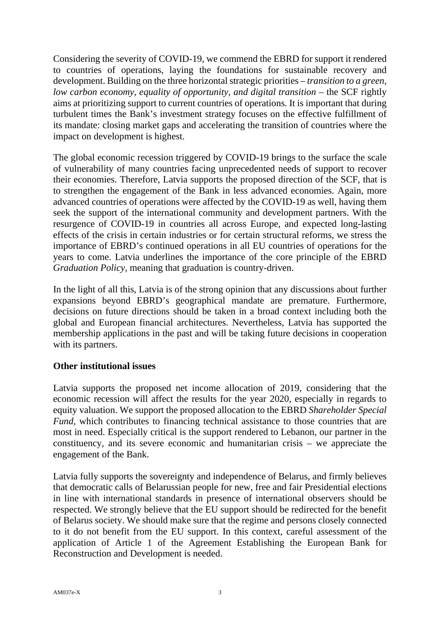Considering the severity of COVID-19, we commend the EBRD for support it rendered to countries of operations, laying the foundations for sustainable recovery and development. Building on the three horizontal strategic priorities – *transition to a green, low carbon economy, equality of opportunity, and digital transition* – the SCF rightly aims at prioritizing support to current countries of operations. It is important that during turbulent times the Bank's investment strategy focuses on the effective fulfillment of its mandate: closing market gaps and accelerating the transition of countries where the impact on development is highest.

The global economic recession triggered by COVID-19 brings to the surface the scale of vulnerability of many countries facing unprecedented needs of support to recover their economies. Therefore, Latvia supports the proposed direction of the SCF, that is to strengthen the engagement of the Bank in less advanced economies. Again, more advanced countries of operations were affected by the COVID-19 as well, having them seek the support of the international community and development partners. With the resurgence of COVID-19 in countries all across Europe, and expected long-lasting effects of the crisis in certain industries or for certain structural reforms, we stress the importance of EBRD's continued operations in all EU countries of operations for the years to come. Latvia underlines the importance of the core principle of the EBRD *Graduation Policy,* meaning that graduation is country-driven.

In the light of all this, Latvia is of the strong opinion that any discussions about further expansions beyond EBRD's geographical mandate are premature. Furthermore, decisions on future directions should be taken in a broad context including both the global and European financial architectures. Nevertheless, Latvia has supported the membership applications in the past and will be taking future decisions in cooperation with its partners.

#### **Other institutional issues**

Latvia supports the proposed net income allocation of 2019, considering that the economic recession will affect the results for the year 2020, especially in regards to equity valuation. We support the proposed allocation to the EBRD *Shareholder Special Fund*, which contributes to financing technical assistance to those countries that are most in need. Especially critical is the support rendered to Lebanon, our partner in the constituency, and its severe economic and humanitarian crisis – we appreciate the engagement of the Bank.

Latvia fully supports the sovereignty and independence of Belarus, and firmly believes that democratic calls of Belarussian people for new, free and fair Presidential elections in line with international standards in presence of international observers should be respected. We strongly believe that the EU support should be redirected for the benefit of Belarus society. We should make sure that the regime and persons closely connected to it do not benefit from the EU support. In this context, careful assessment of the application of Article 1 of the Agreement Establishing the European Bank for Reconstruction and Development is needed.